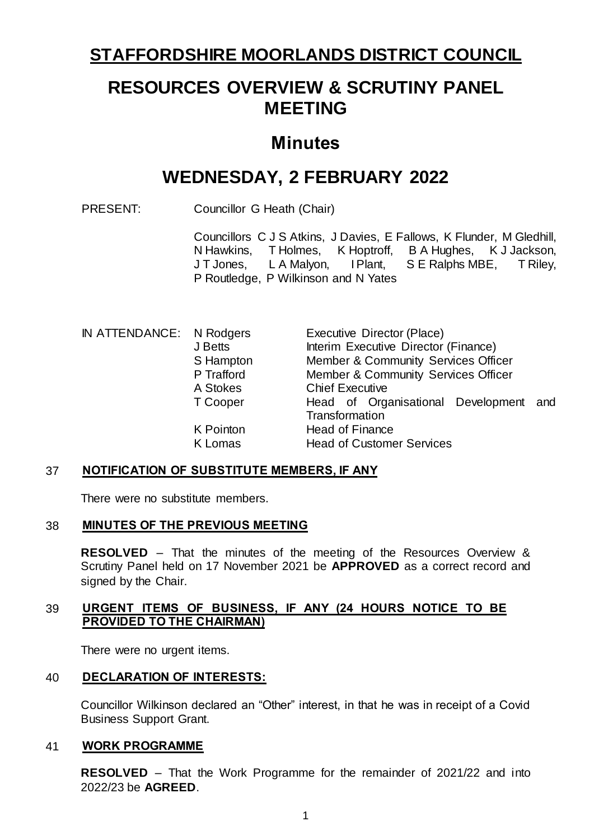# **STAFFORDSHIRE MOORLANDS DISTRICT COUNCIL**

# **RESOURCES OVERVIEW & SCRUTINY PANEL MEETING**

# **Minutes**

# **WEDNESDAY, 2 FEBRUARY 2022**

PRESENT: Councillor G Heath (Chair)

Councillors C J S Atkins, J Davies, E Fallows, K Flunder, M Gledhill, N Hawkins, T Holmes, K Hoptroff, B A Hughes, K J Jackson, J T Jones, L A Malyon, IPlant, S E Ralphs MBE, T Riley, P Routledge, P Wilkinson and N Yates

| IN ATTENDANCE: N Rodgers |            | Executive Director (Place)             |
|--------------------------|------------|----------------------------------------|
|                          | J Betts    | Interim Executive Director (Finance)   |
|                          | S Hampton  | Member & Community Services Officer    |
|                          | P Trafford | Member & Community Services Officer    |
|                          | A Stokes   | <b>Chief Executive</b>                 |
|                          | T Cooper   | Head of Organisational Development and |
|                          |            | Transformation                         |
|                          | K Pointon  | <b>Head of Finance</b>                 |
|                          | K Lomas    | <b>Head of Customer Services</b>       |

#### 37 **NOTIFICATION OF SUBSTITUTE MEMBERS, IF ANY**

There were no substitute members.

#### 38 **MINUTES OF THE PREVIOUS MEETING**

**RESOLVED** – That the minutes of the meeting of the Resources Overview & Scrutiny Panel held on 17 November 2021 be **APPROVED** as a correct record and signed by the Chair.

### 39 **URGENT ITEMS OF BUSINESS, IF ANY (24 HOURS NOTICE TO BE PROVIDED TO THE CHAIRMAN)**

There were no urgent items.

### 40 **DECLARATION OF INTERESTS:**

Councillor Wilkinson declared an "Other" interest, in that he was in receipt of a Covid Business Support Grant.

#### 41 **WORK PROGRAMME**

**RESOLVED** – That the Work Programme for the remainder of 2021/22 and into 2022/23 be **AGREED**.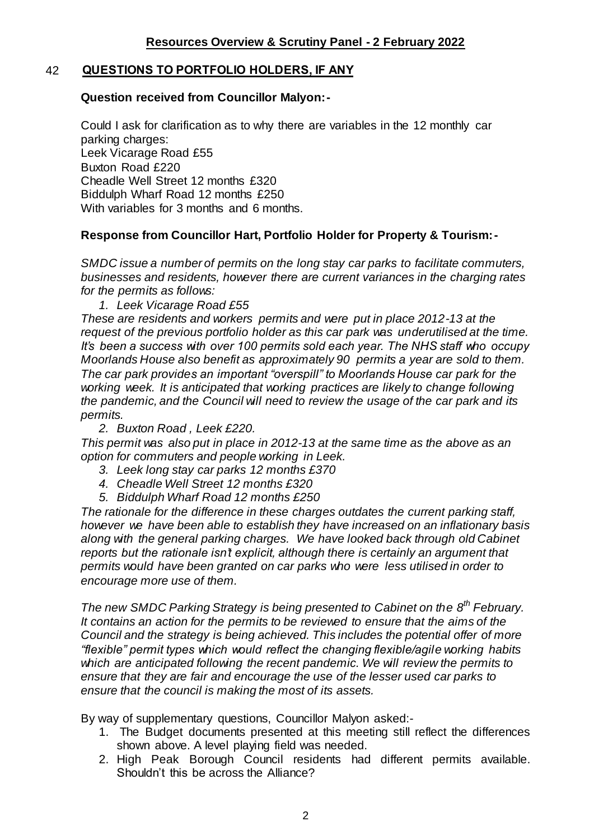# 42 **QUESTIONS TO PORTFOLIO HOLDERS, IF ANY**

#### **Question received from Councillor Malyon:-**

Could I ask for clarification as to why there are variables in the 12 monthly car parking charges: Leek Vicarage Road £55 Buxton Road £220 Cheadle Well Street 12 months £320 Biddulph Wharf Road 12 months £250 With variables for 3 months and 6 months.

## **Response from Councillor Hart, Portfolio Holder for Property & Tourism:-**

*SMDC issue a number of permits on the long stay car parks to facilitate commuters, businesses and residents, however there are current variances in the charging rates for the permits as follows:*

*1. Leek Vicarage Road £55* 

*These are residents and workers permits and were put in place 2012-13 at the request of the previous portfolio holder as this car park was underutilised at the time. It's been a success with over 100 permits sold each year. The NHS staff who occupy Moorlands House also benefit as approximately 90 permits a year are sold to them. The car park provides an important "overspill" to Moorlands House car park for the*  working week. It is anticipated that working practices are likely to change following *the pandemic, and the Council will need to review the usage of the car park and its permits.*

*2. Buxton Road , Leek £220.* 

*This permit was also put in place in 2012-13 at the same time as the above as an option for commuters and people working in Leek.* 

- *3. Leek long stay car parks 12 months £370*
- *4. Cheadle Well Street 12 months £320*
- *5. Biddulph Wharf Road 12 months £250*

*The rationale for the difference in these charges outdates the current parking staff, however we have been able to establish they have increased on an inflationary basis along with the general parking charges. We have looked back through old Cabinet reports but the rationale isn't explicit, although there is certainly an argument that permits would have been granted on car parks who were less utilised in order to encourage more use of them.* 

*The new SMDC Parking Strategy is being presented to Cabinet on the 8th February. It contains an action for the permits to be reviewed to ensure that the aims of the Council and the strategy is being achieved. This includes the potential offer of more "flexible" permit types which would reflect the changing flexible/agile working habits which are anticipated following the recent pandemic. We will review the permits to ensure that they are fair and encourage the use of the lesser used car parks to ensure that the council is making the most of its assets.* 

By way of supplementary questions, Councillor Malyon asked:-

- 1. The Budget documents presented at this meeting still reflect the differences shown above. A level playing field was needed.
- 2. High Peak Borough Council residents had different permits available. Shouldn't this be across the Alliance?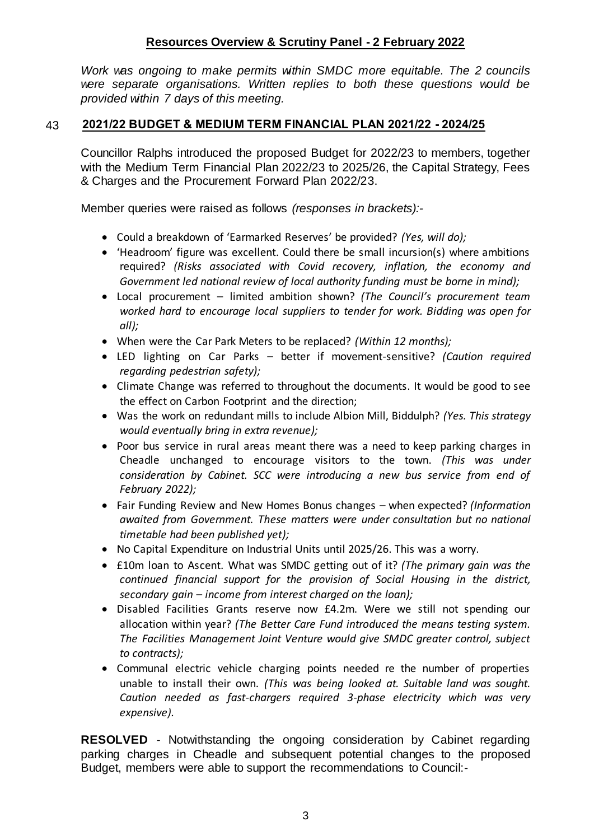*Work was ongoing to make permits within SMDC more equitable. The 2 councils were separate organisations. Written replies to both these questions would be provided within 7 days of this meeting.*

# 43 **2021/22 BUDGET & MEDIUM TERM FINANCIAL PLAN 2021/22 - 2024/25**

Councillor Ralphs introduced the proposed Budget for 2022/23 to members, together with the Medium Term Financial Plan 2022/23 to 2025/26, the Capital Strategy, Fees & Charges and the Procurement Forward Plan 2022/23.

Member queries were raised as follows *(responses in brackets):-*

- Could a breakdown of 'Earmarked Reserves' be provided? *(Yes, will do);*
- 'Headroom' figure was excellent. Could there be small incursion(s) where ambitions required? *(Risks associated with Covid recovery, inflation, the economy and Government led national review of local authority funding must be borne in mind);*
- Local procurement limited ambition shown? *(The Council's procurement team worked hard to encourage local suppliers to tender for work. Bidding was open for all);*
- When were the Car Park Meters to be replaced? *(Within 12 months);*
- LED lighting on Car Parks better if movement-sensitive? *(Caution required regarding pedestrian safety);*
- Climate Change was referred to throughout the documents. It would be good to see the effect on Carbon Footprint and the direction;
- Was the work on redundant mills to include Albion Mill, Biddulph? *(Yes. This strategy would eventually bring in extra revenue);*
- Poor bus service in rural areas meant there was a need to keep parking charges in Cheadle unchanged to encourage visitors to the town. *(This was under consideration by Cabinet. SCC were introducing a new bus service from end of February 2022);*
- Fair Funding Review and New Homes Bonus changes when expected? *(Information awaited from Government. These matters were under consultation but no national timetable had been published yet);*
- No Capital Expenditure on Industrial Units until 2025/26. This was a worry.
- £10m loan to Ascent. What was SMDC getting out of it? *(The primary gain was the continued financial support for the provision of Social Housing in the district, secondary gain – income from interest charged on the loan);*
- Disabled Facilities Grants reserve now £4.2m. Were we still not spending our allocation within year? *(The Better Care Fund introduced the means testing system. The Facilities Management Joint Venture would give SMDC greater control, subject to contracts);*
- Communal electric vehicle charging points needed re the number of properties unable to install their own. *(This was being looked at. Suitable land was sought. Caution needed as fast-chargers required 3-phase electricity which was very expensive).*

**RESOLVED** - Notwithstanding the ongoing consideration by Cabinet regarding parking charges in Cheadle and subsequent potential changes to the proposed Budget, members were able to support the recommendations to Council:-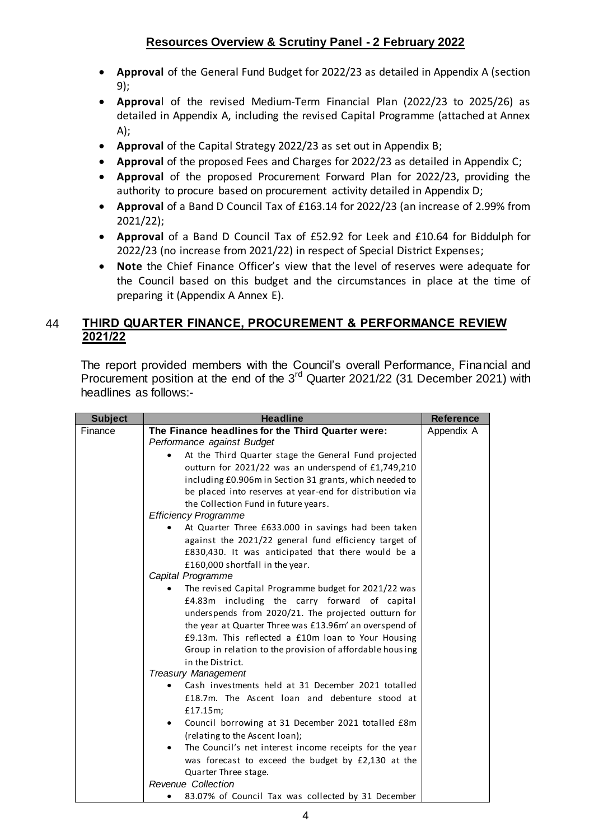- **Approval** of the General Fund Budget for 2022/23 as detailed in Appendix A (section 9);
- **Approva**l of the revised Medium-Term Financial Plan (2022/23 to 2025/26) as detailed in Appendix A, including the revised Capital Programme (attached at Annex A);
- **Approval** of the Capital Strategy 2022/23 as set out in Appendix B;
- **Approval** of the proposed Fees and Charges for 2022/23 as detailed in Appendix C;
- **Approval** of the proposed Procurement Forward Plan for 2022/23, providing the authority to procure based on procurement activity detailed in Appendix D;
- **Approval** of a Band D Council Tax of £163.14 for 2022/23 (an increase of 2.99% from 2021/22);
- **Approval** of a Band D Council Tax of £52.92 for Leek and £10.64 for Biddulph for 2022/23 (no increase from 2021/22) in respect of Special District Expenses;
- **Note** the Chief Finance Officer's view that the level of reserves were adequate for the Council based on this budget and the circumstances in place at the time of preparing it (Appendix A Annex E).

# 44 **THIRD QUARTER FINANCE, PROCUREMENT & PERFORMANCE REVIEW 2021/22**

The report provided members with the Council's overall Performance, Financial and Procurement position at the end of the 3<sup>rd</sup> Quarter 2021/22 (31 December 2021) with headlines as follows:-

| <b>Subject</b> | <b>Headline</b>                                          | <b>Reference</b> |
|----------------|----------------------------------------------------------|------------------|
| Finance        | The Finance headlines for the Third Quarter were:        | Appendix A       |
|                | Performance against Budget                               |                  |
|                | At the Third Quarter stage the General Fund projected    |                  |
|                | outturn for 2021/22 was an underspend of £1,749,210      |                  |
|                | including £0.906m in Section 31 grants, which needed to  |                  |
|                | be placed into reserves at year-end for distribution via |                  |
|                | the Collection Fund in future years.                     |                  |
|                | <b>Efficiency Programme</b>                              |                  |
|                | At Quarter Three £633.000 in savings had been taken      |                  |
|                | against the 2021/22 general fund efficiency target of    |                  |
|                | £830,430. It was anticipated that there would be a       |                  |
|                | £160,000 shortfall in the year.                          |                  |
|                | Capital Programme                                        |                  |
|                | The revised Capital Programme budget for 2021/22 was     |                  |
|                | £4.83m including the carry forward of capital            |                  |
|                | underspends from 2020/21. The projected outturn for      |                  |
|                | the year at Quarter Three was £13.96m' an overspend of   |                  |
|                | £9.13m. This reflected a £10m loan to Your Housing       |                  |
|                | Group in relation to the provision of affordable housing |                  |
|                | in the District.                                         |                  |
|                | <b>Treasury Management</b>                               |                  |
|                | Cash investments held at 31 December 2021 totalled       |                  |
|                | £18.7m. The Ascent loan and debenture stood at           |                  |
|                | £17.15m;                                                 |                  |
|                | Council borrowing at 31 December 2021 totalled £8m       |                  |
|                | (relating to the Ascent loan);                           |                  |
|                | The Council's net interest income receipts for the year  |                  |
|                | was forecast to exceed the budget by £2,130 at the       |                  |
|                | Quarter Three stage.                                     |                  |
|                | Revenue Collection                                       |                  |
|                | 83.07% of Council Tax was collected by 31 December       |                  |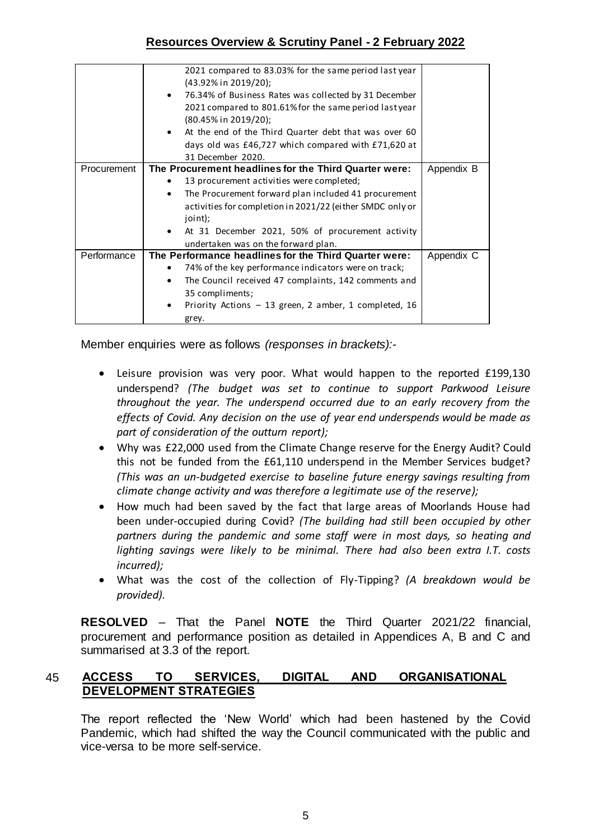|             | 2021 compared to 83.03% for the same period last year<br>(43.92% in 2019/20); |            |
|-------------|-------------------------------------------------------------------------------|------------|
|             | 76.34% of Business Rates was collected by 31 December<br>$\bullet$            |            |
|             | 2021 compared to 801.61% for the same period lastyear                         |            |
|             | (80.45% in 2019/20);                                                          |            |
|             | At the end of the Third Quarter debt that was over 60                         |            |
|             | days old was £46,727 which compared with £71,620 at                           |            |
|             | 31 December 2020.                                                             |            |
| Procurement | The Procurement headlines for the Third Quarter were:                         | Appendix B |
|             | 13 procurement activities were completed;                                     |            |
|             | The Procurement forward plan included 41 procurement<br>$\bullet$             |            |
|             | activities for completion in 2021/22 (either SMDC only or                     |            |
|             | joint);                                                                       |            |
|             | At 31 December 2021, 50% of procurement activity<br>$\bullet$                 |            |
|             | undertaken was on the forward plan.                                           |            |
| Performance | The Performance headlines for the Third Quarter were:                         | Appendix C |
|             | 74% of the key performance indicators were on track;                          |            |
|             | The Council received 47 complaints, 142 comments and<br>$\bullet$             |            |
|             | 35 compliments;                                                               |            |
|             | Priority Actions $-13$ green, 2 amber, 1 completed, 16<br>٠                   |            |
|             | grey.                                                                         |            |

Member enquiries were as follows *(responses in brackets):-*

- Leisure provision was very poor. What would happen to the reported £199,130 underspend? *(The budget was set to continue to support Parkwood Leisure throughout the year. The underspend occurred due to an early recovery from the effects of Covid. Any decision on the use of year end underspends would be made as part of consideration of the outturn report);*
- Why was £22,000 used from the Climate Change reserve for the Energy Audit? Could this not be funded from the £61,110 underspend in the Member Services budget? *(This was an un-budgeted exercise to baseline future energy savings resulting from climate change activity and was therefore a legitimate use of the reserve);*
- How much had been saved by the fact that large areas of Moorlands House had been under-occupied during Covid? *(The building had still been occupied by other partners during the pandemic and some staff were in most days, so heating and lighting savings were likely to be minimal. There had also been extra I.T. costs incurred);*
- What was the cost of the collection of Fly-Tipping? *(A breakdown would be provided).*

**RESOLVED** – That the Panel **NOTE** the Third Quarter 2021/22 financial, procurement and performance position as detailed in Appendices A, B and C and summarised at 3.3 of the report.

## 45 **ACCESS TO SERVICES, DIGITAL AND ORGANISATIONAL DEVELOPMENT STRATEGIES**

The report reflected the 'New World' which had been hastened by the Covid Pandemic, which had shifted the way the Council communicated with the public and vice-versa to be more self-service.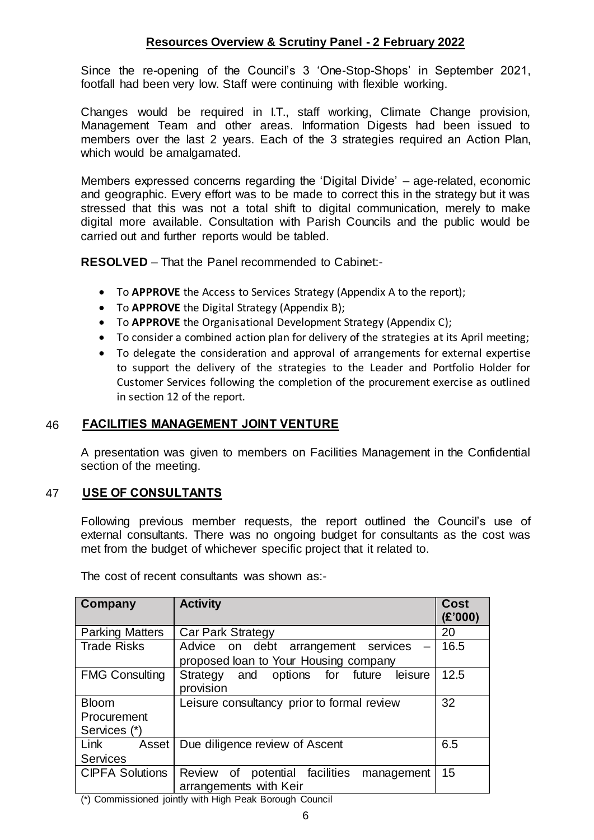Since the re-opening of the Council's 3 'One-Stop-Shops' in September 2021, footfall had been very low. Staff were continuing with flexible working.

Changes would be required in I.T., staff working, Climate Change provision, Management Team and other areas. Information Digests had been issued to members over the last 2 years. Each of the 3 strategies required an Action Plan, which would be amalgamated.

Members expressed concerns regarding the 'Digital Divide' – age-related, economic and geographic. Every effort was to be made to correct this in the strategy but it was stressed that this was not a total shift to digital communication, merely to make digital more available. Consultation with Parish Councils and the public would be carried out and further reports would be tabled.

**RESOLVED** – That the Panel recommended to Cabinet:-

- To **APPROVE** the Access to Services Strategy (Appendix A to the report);
- To **APPROVE** the Digital Strategy (Appendix B);
- To **APPROVE** the Organisational Development Strategy (Appendix C);
- To consider a combined action plan for delivery of the strategies at its April meeting;
- To delegate the consideration and approval of arrangements for external expertise to support the delivery of the strategies to the Leader and Portfolio Holder for Customer Services following the completion of the procurement exercise as outlined in section 12 of the report.

#### 46 **FACILITIES MANAGEMENT JOINT VENTURE**

A presentation was given to members on Facilities Management in the Confidential section of the meeting.

### 47 **USE OF CONSULTANTS**

Following previous member requests, the report outlined the Council's use of external consultants. There was no ongoing budget for consultants as the cost was met from the budget of whichever specific project that it related to.

| Company                                                  | <b>Activity</b>                                                              | <b>Cost</b><br>(E'000) |  |
|----------------------------------------------------------|------------------------------------------------------------------------------|------------------------|--|
| <b>Parking Matters</b>                                   | <b>Car Park Strategy</b>                                                     | 20                     |  |
| <b>Trade Risks</b>                                       | Advice on debt arrangement services<br>proposed loan to Your Housing company | 16.5                   |  |
| <b>FMG Consulting</b>                                    | Strategy and options for future<br>leisure<br>provision                      | 12.5                   |  |
| <b>Bloom</b>                                             | Leisure consultancy prior to formal review                                   | 32                     |  |
| Procurement                                              |                                                                              |                        |  |
| Services (*)                                             |                                                                              |                        |  |
| Link<br>Asset                                            | Due diligence review of Ascent                                               | 6.5                    |  |
| <b>Services</b>                                          |                                                                              |                        |  |
| <b>CIPFA Solutions</b>                                   | Review of potential facilities<br>management                                 | 15                     |  |
|                                                          | arrangements with Keir                                                       |                        |  |
| (*) Commissioned jointly with Uigh Deal: Derough Council |                                                                              |                        |  |

The cost of recent consultants was shown as:-

(\*) Commissioned jointly with High Peak Borough Council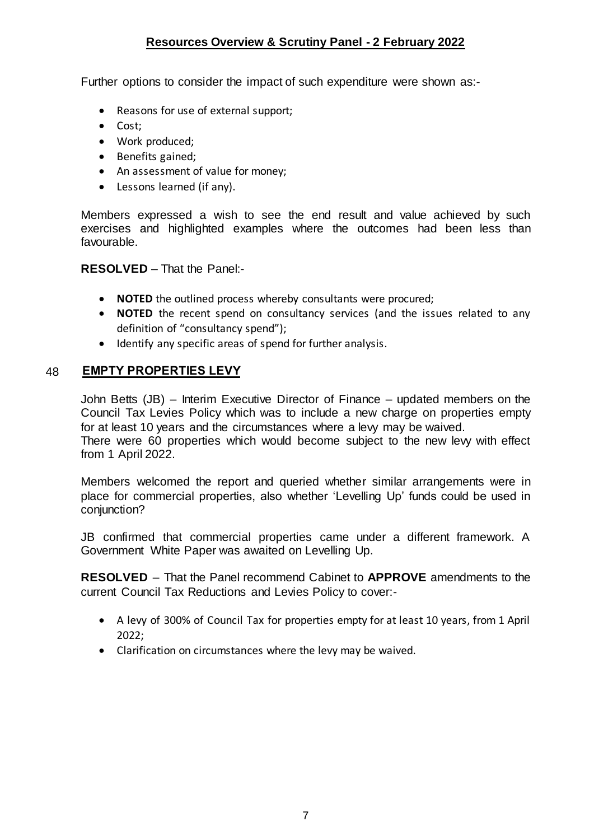Further options to consider the impact of such expenditure were shown as:-

- Reasons for use of external support;
- Cost;
- Work produced;
- Benefits gained;
- An assessment of value for money;
- Lessons learned (if any).

Members expressed a wish to see the end result and value achieved by such exercises and highlighted examples where the outcomes had been less than favourable.

#### **RESOLVED** – That the Panel:-

- **NOTED** the outlined process whereby consultants were procured;
- **NOTED** the recent spend on consultancy services (and the issues related to any definition of "consultancy spend");
- Identify any specific areas of spend for further analysis.

### 48 **EMPTY PROPERTIES LEVY**

John Betts (JB) – Interim Executive Director of Finance – updated members on the Council Tax Levies Policy which was to include a new charge on properties empty for at least 10 years and the circumstances where a levy may be waived.

There were 60 properties which would become subject to the new levy with effect from 1 April 2022.

Members welcomed the report and queried whether similar arrangements were in place for commercial properties, also whether 'Levelling Up' funds could be used in conjunction?

JB confirmed that commercial properties came under a different framework. A Government White Paper was awaited on Levelling Up.

**RESOLVED** – That the Panel recommend Cabinet to **APPROVE** amendments to the current Council Tax Reductions and Levies Policy to cover:-

- A levy of 300% of Council Tax for properties empty for at least 10 years, from 1 April 2022;
- Clarification on circumstances where the levy may be waived.